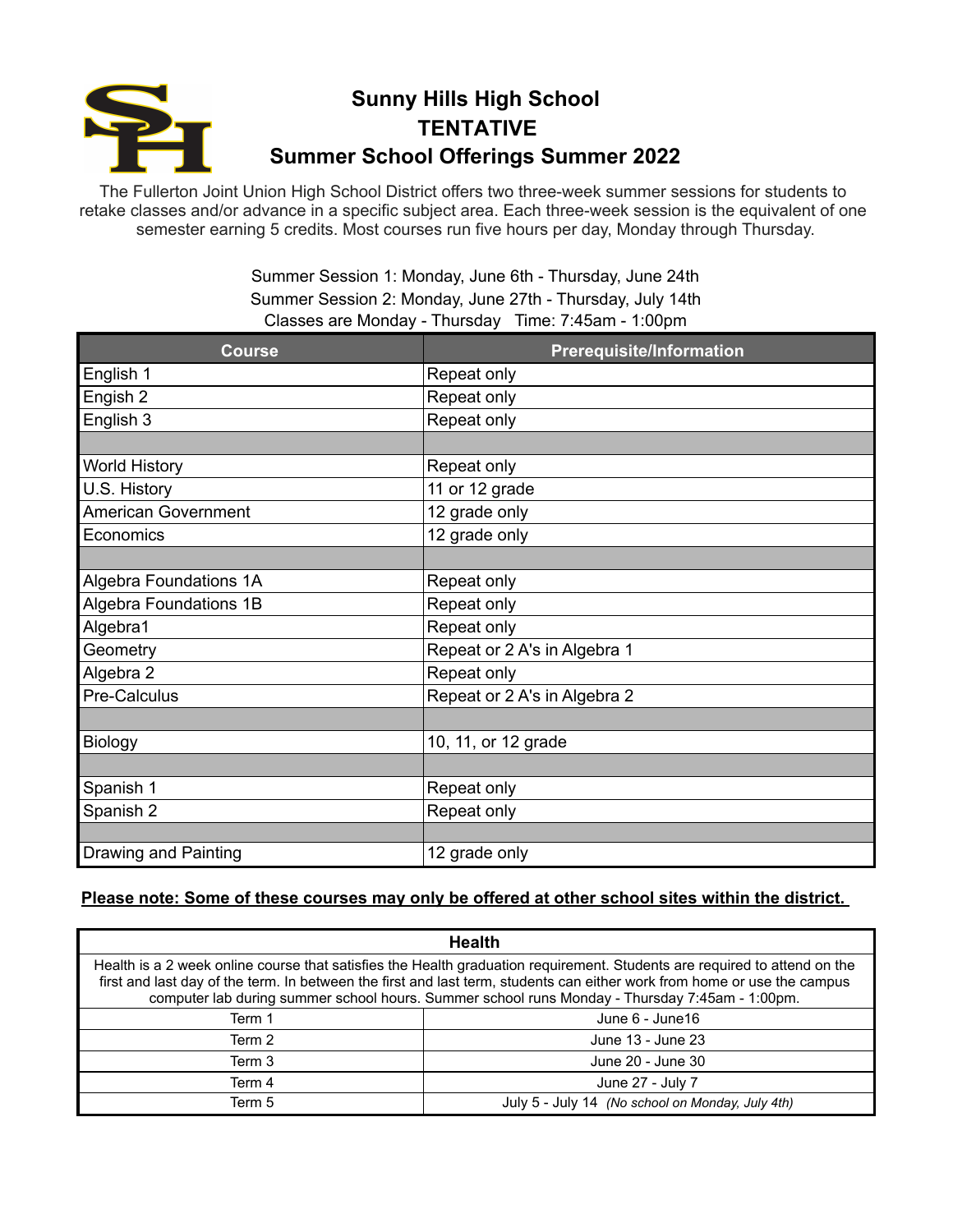

## **Sunny Hills High School TENTATIVE Summer School Offerings Summer 2022**

The Fullerton Joint Union High School District offers two three-week summer sessions for students to retake classes and/or advance in a specific subject area. Each three-week session is the equivalent of one semester earning 5 credits. Most courses run five hours per day, Monday through Thursday.

> Summer Session 1: Monday, June 6th - Thursday, June 24th Summer Session 2: Monday, June 27th - Thursday, July 14th Classes are Monday - Thursday Time: 7:45am - 1:00pm

| <b>Course</b>                 | <b>Prerequisite/Information</b> |
|-------------------------------|---------------------------------|
| English 1                     | Repeat only                     |
| Engish 2                      | Repeat only                     |
| English 3                     | Repeat only                     |
|                               |                                 |
| <b>World History</b>          | Repeat only                     |
| U.S. History                  | 11 or 12 grade                  |
| <b>American Government</b>    | 12 grade only                   |
| Economics                     | 12 grade only                   |
|                               |                                 |
| <b>Algebra Foundations 1A</b> | Repeat only                     |
| Algebra Foundations 1B        | Repeat only                     |
| Algebra1                      | Repeat only                     |
| Geometry                      | Repeat or 2 A's in Algebra 1    |
| Algebra 2                     | Repeat only                     |
| Pre-Calculus                  | Repeat or 2 A's in Algebra 2    |
|                               |                                 |
| <b>Biology</b>                | 10, 11, or 12 grade             |
|                               |                                 |
| Spanish 1                     | Repeat only                     |
| Spanish 2                     | Repeat only                     |
|                               |                                 |
| Drawing and Painting          | 12 grade only                   |

## **Please note: Some of these courses may only be offered at other school sites within the district.**

| <b>Health</b>                                                                                                                                                                                                                                                                                                                                           |                                                  |  |
|---------------------------------------------------------------------------------------------------------------------------------------------------------------------------------------------------------------------------------------------------------------------------------------------------------------------------------------------------------|--------------------------------------------------|--|
| Health is a 2 week online course that satisfies the Health graduation requirement. Students are required to attend on the<br>first and last day of the term. In between the first and last term, students can either work from home or use the campus<br>computer lab during summer school hours. Summer school runs Monday - Thursday 7:45am - 1:00pm. |                                                  |  |
| Term 1                                                                                                                                                                                                                                                                                                                                                  | June 6 - June 16                                 |  |
| Term 2                                                                                                                                                                                                                                                                                                                                                  | June 13 - June 23                                |  |
| Term 3                                                                                                                                                                                                                                                                                                                                                  | June 20 - June 30                                |  |
| Term 4                                                                                                                                                                                                                                                                                                                                                  | June 27 - July 7                                 |  |
| Term 5                                                                                                                                                                                                                                                                                                                                                  | July 5 - July 14 (No school on Monday, July 4th) |  |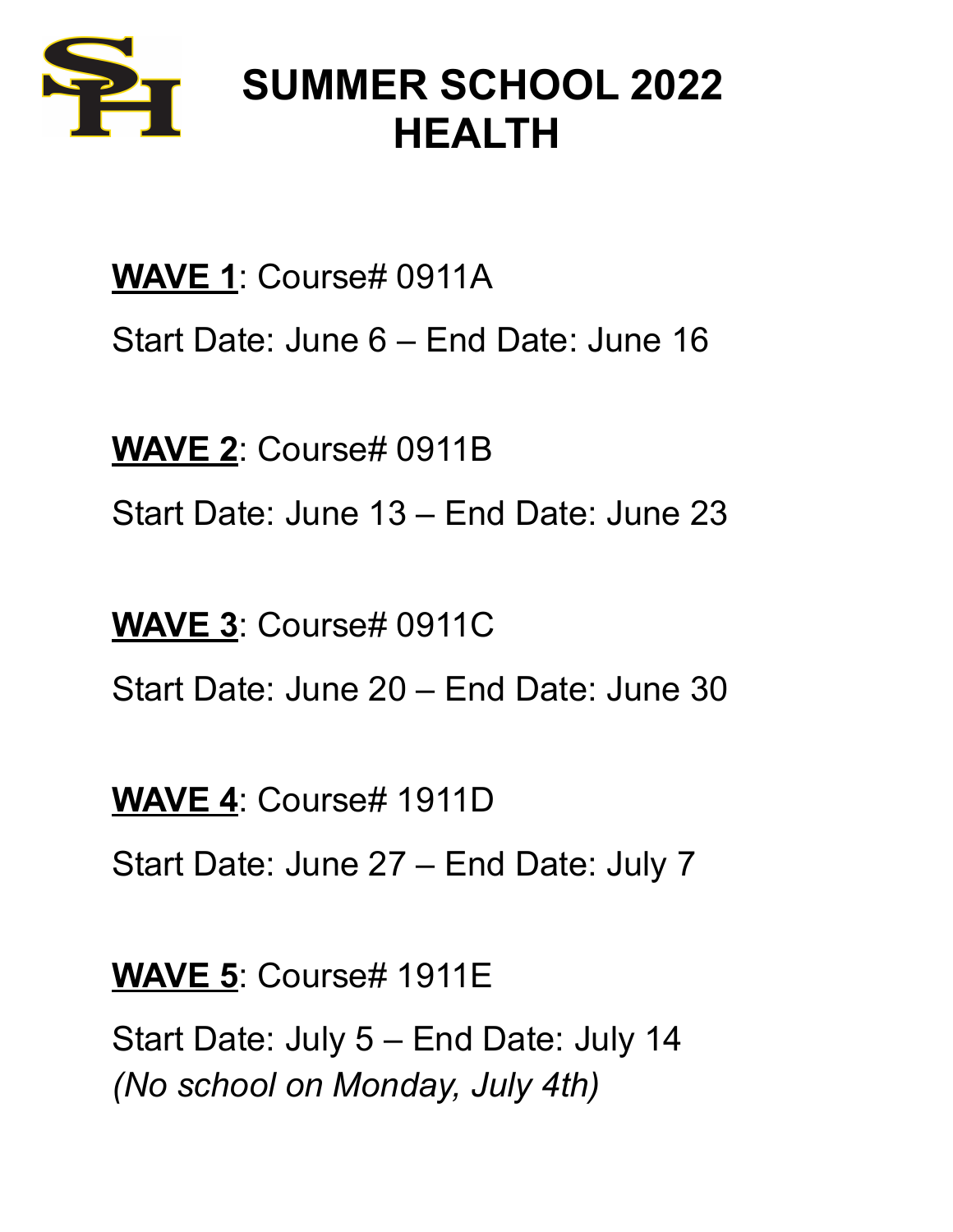

## **SUMMER SCHOOL 2022 HEALTH**

**WAVE 1**: Course# 0911A Start Date: June 6 – End Date: June 16

**WAVE 2**: Course# 0911B Start Date: June 13 – End Date: June 23

**WAVE 3**: Course# 0911C Start Date: June 20 – End Date: June 30

**WAVE 4**: Course# 1911D

Start Date: June 27 – End Date: July 7

**WAVE 5**: Course# 1911E

Start Date: July 5 – End Date: July 14 *(No school on Monday, July 4th)*